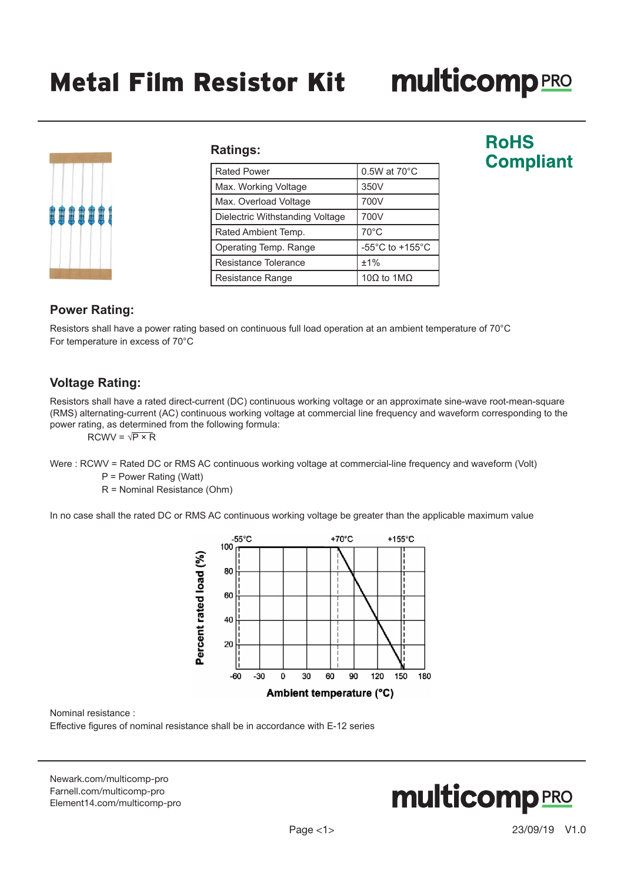# **multicomp**PRO

| <b>!!!!!!!!</b> |  |  |  |
|-----------------|--|--|--|
|                 |  |  |  |
|                 |  |  |  |

#### **Ratings:**

| <b>Rated Power</b>              | $0.5W$ at $70^{\circ}$ C              |
|---------------------------------|---------------------------------------|
| Max. Working Voltage            | 350V                                  |
| Max. Overload Voltage           | 700V                                  |
| Dielectric Withstanding Voltage | 700V                                  |
| Rated Ambient Temp.             | $70^{\circ}$ C                        |
| Operating Temp. Range           | -55 $^{\circ}$ C to +155 $^{\circ}$ C |
| Resistance Tolerance            | ±1%                                   |
| Resistance Range                | 10Ω to 1MΩ                            |

# **RoHS Compliant**

#### **Power Rating:**

Resistors shall have a power rating based on continuous full load operation at an ambient temperature of 70°C For temperature in excess of 70°C

#### **Voltage Rating:**

Resistors shall have a rated direct-current (DC) continuous working voltage or an approximate sine-wave root-mean-square (RMS) alternating-current (AC) continuous working voltage at commercial line frequency and waveform corresponding to the power rating, as determined from the following formula:

 $RCWV = \sqrt{P \times R}$ 

Were : RCWV = Rated DC or RMS AC continuous working voltage at commercial-line frequency and waveform (Volt)

P = Power Rating (Watt)

R = Nominal Resistance (Ohm)

In no case shall the rated DC or RMS AC continuous working voltage be greater than the applicable maximum value



Nominal resistance :

Effective figures of nominal resistance shall be in accordance with E-12 series

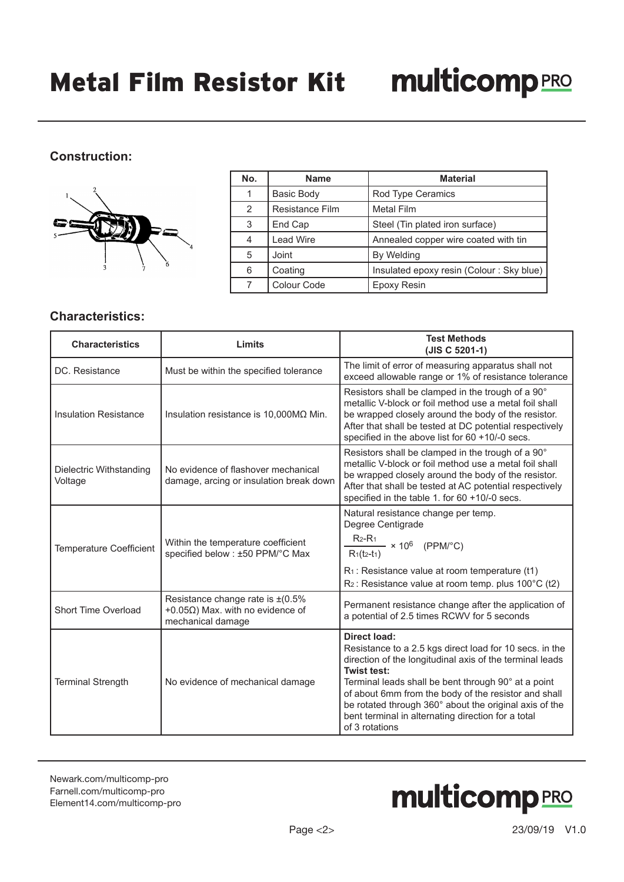### **Construction:**



| No. | <b>Name</b>       | <b>Material</b>                          |
|-----|-------------------|------------------------------------------|
|     | <b>Basic Body</b> | Rod Type Ceramics                        |
| 2   | Resistance Film   | <b>Metal Film</b>                        |
| 3   | End Cap           | Steel (Tin plated iron surface)          |
|     | <b>Lead Wire</b>  | Annealed copper wire coated with tin     |
| 5   | Joint             | By Welding                               |
| 6   | Coating           | Insulated epoxy resin (Colour: Sky blue) |
|     | Colour Code       | Epoxy Resin                              |

#### **Characteristics:**

| <b>Characteristics</b>                                                        | Limits                                                                                                   | <b>Test Methods</b><br>(JIS C 5201-1)                                                                                                                                                                                                                                                                                                                                                               |
|-------------------------------------------------------------------------------|----------------------------------------------------------------------------------------------------------|-----------------------------------------------------------------------------------------------------------------------------------------------------------------------------------------------------------------------------------------------------------------------------------------------------------------------------------------------------------------------------------------------------|
| DC. Resistance                                                                | Must be within the specified tolerance                                                                   | The limit of error of measuring apparatus shall not<br>exceed allowable range or 1% of resistance tolerance                                                                                                                                                                                                                                                                                         |
| <b>Insulation Resistance</b><br>Insulation resistance is $10,000M\Omega$ Min. |                                                                                                          | Resistors shall be clamped in the trough of a 90°<br>metallic V-block or foil method use a metal foil shall<br>be wrapped closely around the body of the resistor.<br>After that shall be tested at DC potential respectively<br>specified in the above list for 60 +10/-0 secs.                                                                                                                    |
| Dielectric Withstanding<br>Voltage                                            | No evidence of flashover mechanical<br>damage, arcing or insulation break down                           | Resistors shall be clamped in the trough of a 90°<br>metallic V-block or foil method use a metal foil shall<br>be wrapped closely around the body of the resistor.<br>After that shall be tested at AC potential respectively<br>specified in the table 1. for 60 +10/-0 secs.                                                                                                                      |
| <b>Temperature Coefficient</b>                                                | Within the temperature coefficient<br>specified below : ±50 PPM/°C Max                                   | Natural resistance change per temp.<br>Degree Centigrade<br>$R_{2}$ -R <sub>1</sub><br>$-$ × 10 <sup>6</sup> (PPM/°C)<br>$R_1(t_2-t_1)$<br>$R_1$ : Resistance value at room temperature (t1)<br>$R_2$ : Resistance value at room temp. plus 100 $\degree$ C (t2)                                                                                                                                    |
| Short Time Overload                                                           | Resistance change rate is $\pm (0.5\%$<br>+0.05 $\Omega$ ) Max. with no evidence of<br>mechanical damage | Permanent resistance change after the application of<br>a potential of 2.5 times RCWV for 5 seconds                                                                                                                                                                                                                                                                                                 |
| <b>Terminal Strength</b>                                                      | No evidence of mechanical damage                                                                         | Direct load:<br>Resistance to a 2.5 kgs direct load for 10 secs. in the<br>direction of the longitudinal axis of the terminal leads<br>Twist test:<br>Terminal leads shall be bent through 90° at a point<br>of about 6mm from the body of the resistor and shall<br>be rotated through 360° about the original axis of the<br>bent terminal in alternating direction for a total<br>of 3 rotations |

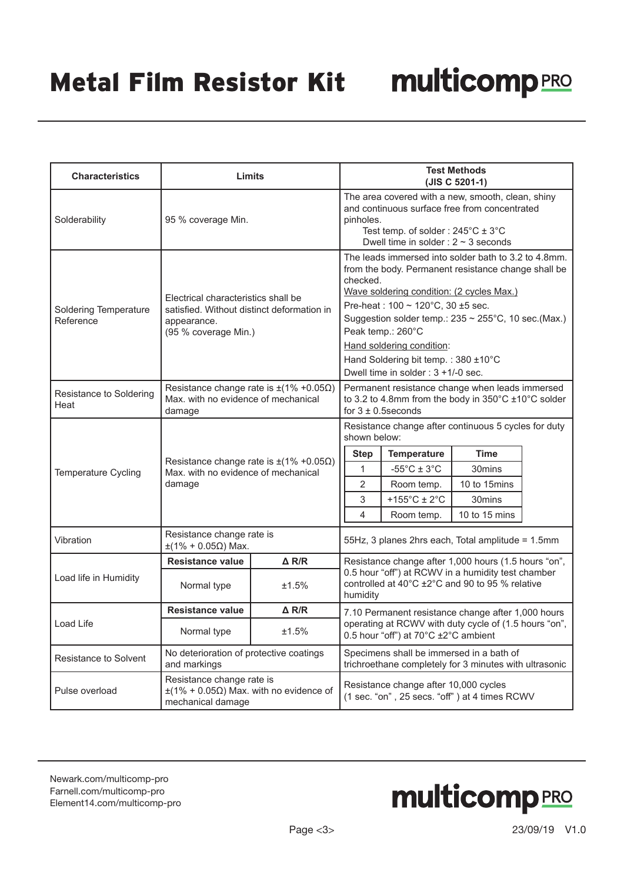| <b>Characteristics</b>                     | Limits                                                                                                                   |                 | <b>Test Methods</b><br>(JIS C 5201-1)                                                                                                                                                                                                                                                                                                                                                            |                                                                                                                          |                                                                                                                          |  |
|--------------------------------------------|--------------------------------------------------------------------------------------------------------------------------|-----------------|--------------------------------------------------------------------------------------------------------------------------------------------------------------------------------------------------------------------------------------------------------------------------------------------------------------------------------------------------------------------------------------------------|--------------------------------------------------------------------------------------------------------------------------|--------------------------------------------------------------------------------------------------------------------------|--|
| Solderability                              | 95 % coverage Min.                                                                                                       |                 | The area covered with a new, smooth, clean, shiny<br>and continuous surface free from concentrated<br>pinholes.<br>Test temp. of solder: $245^{\circ}$ C $\pm$ 3 $^{\circ}$ C<br>Dwell time in solder : $2 \sim 3$ seconds                                                                                                                                                                       |                                                                                                                          |                                                                                                                          |  |
| <b>Soldering Temperature</b><br>Reference  | Electrical characteristics shall be<br>satisfied. Without distinct deformation in<br>appearance.<br>(95 % coverage Min.) |                 | The leads immersed into solder bath to 3.2 to 4.8mm.<br>from the body. Permanent resistance change shall be<br>checked.<br>Wave soldering condition: (2 cycles Max.)<br>Pre-heat: 100 ~ 120°C, 30 ±5 sec.<br>Suggestion solder temp.: 235 ~ 255°C, 10 sec.(Max.)<br>Peak temp.: 260°C<br>Hand soldering condition:<br>Hand Soldering bit temp.: 380 ±10°C<br>Dwell time in solder : 3 +1/-0 sec. |                                                                                                                          |                                                                                                                          |  |
| Resistance to Soldering<br>Heat            | Resistance change rate is $\pm$ (1% +0.05 $\Omega$ )<br>Max. with no evidence of mechanical<br>damage                    |                 | Permanent resistance change when leads immersed<br>to 3.2 to 4.8mm from the body in 350°C ±10°C solder<br>for $3 \pm 0.5$ seconds                                                                                                                                                                                                                                                                |                                                                                                                          |                                                                                                                          |  |
| Temperature Cycling                        | Resistance change rate is $\pm(1\% + 0.05\Omega)$<br>Max. with no evidence of mechanical<br>damage                       |                 | shown below:<br><b>Step</b><br>$\mathbf{1}$<br>$\overline{2}$<br>3<br>4                                                                                                                                                                                                                                                                                                                          | <b>Temperature</b><br>$-55^{\circ}$ C ± 3 $^{\circ}$ C<br>Room temp.<br>+155 $^{\circ}$ C ± 2 $^{\circ}$ C<br>Room temp. | Resistance change after continuous 5 cycles for duty<br><b>Time</b><br>30mins<br>10 to 15mins<br>30mins<br>10 to 15 mins |  |
| Vibration                                  | Resistance change rate is<br>$±$ (1% + 0.05Ω) Max.                                                                       |                 |                                                                                                                                                                                                                                                                                                                                                                                                  |                                                                                                                          | 55Hz, 3 planes 2hrs each, Total amplitude = 1.5mm                                                                        |  |
| $\triangle$ R/R<br><b>Resistance value</b> |                                                                                                                          |                 | Resistance change after 1,000 hours (1.5 hours "on",                                                                                                                                                                                                                                                                                                                                             |                                                                                                                          |                                                                                                                          |  |
| Load life in Humidity                      | Normal type                                                                                                              | ±1.5%           | 0.5 hour "off") at RCWV in a humidity test chamber<br>controlled at 40°C ±2°C and 90 to 95 % relative<br>humidity                                                                                                                                                                                                                                                                                |                                                                                                                          |                                                                                                                          |  |
|                                            | <b>Resistance value</b>                                                                                                  | $\triangle$ R/R | 7.10 Permanent resistance change after 1,000 hours                                                                                                                                                                                                                                                                                                                                               |                                                                                                                          |                                                                                                                          |  |
| Load Life                                  | ±1.5%<br>Normal type                                                                                                     |                 | operating at RCWV with duty cycle of (1.5 hours "on",<br>0.5 hour "off") at 70°C ±2°C ambient                                                                                                                                                                                                                                                                                                    |                                                                                                                          |                                                                                                                          |  |
| <b>Resistance to Solvent</b>               | No deterioration of protective coatings<br>and markings                                                                  |                 | Specimens shall be immersed in a bath of<br>trichroethane completely for 3 minutes with ultrasonic                                                                                                                                                                                                                                                                                               |                                                                                                                          |                                                                                                                          |  |
| Pulse overload                             | Resistance change rate is<br>$\pm$ (1% + 0.05 $\Omega$ ) Max. with no evidence of<br>mechanical damage                   |                 | Resistance change after 10,000 cycles<br>(1 sec. "on", 25 secs. "off") at 4 times RCWV                                                                                                                                                                                                                                                                                                           |                                                                                                                          |                                                                                                                          |  |

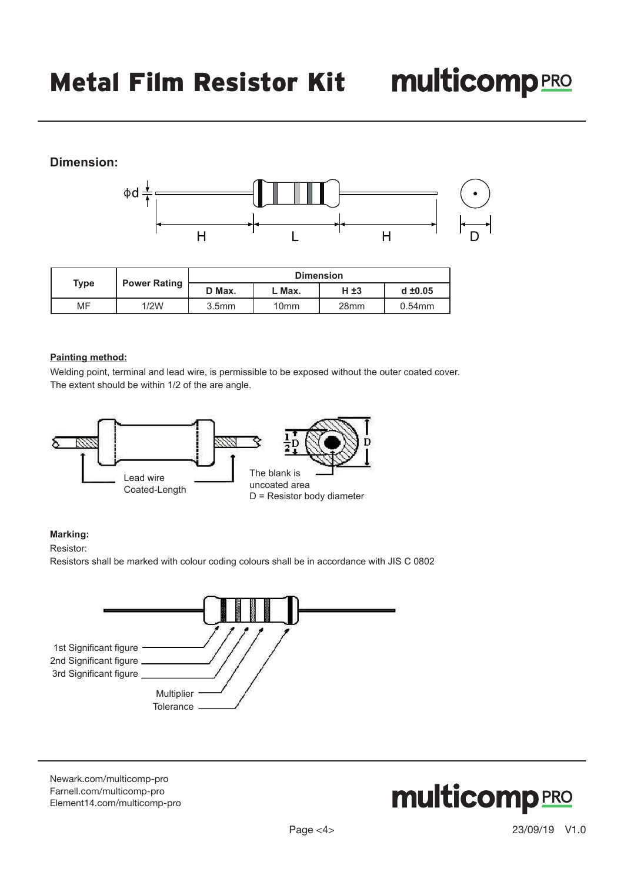# **Dimension:**



|             |                     | <b>Dimension</b>  |                  |                  |              |
|-------------|---------------------|-------------------|------------------|------------------|--------------|
| <b>Type</b> | <b>Power Rating</b> | D Max.            | . Max.           | H ±3             | $d \pm 0.05$ |
| MF          | 1/2W                | 3.5 <sub>mm</sub> | 10 <sub>mm</sub> | 28 <sub>mm</sub> | $0.54$ mm    |

#### **Painting method:**

Welding point, terminal and lead wire, is permissible to be exposed without the outer coated cover. The extent should be within 1/2 of the are angle.



#### **Marking:**

Resistor:

Resistors shall be marked with colour coding colours shall be in accordance with JIS C 0802



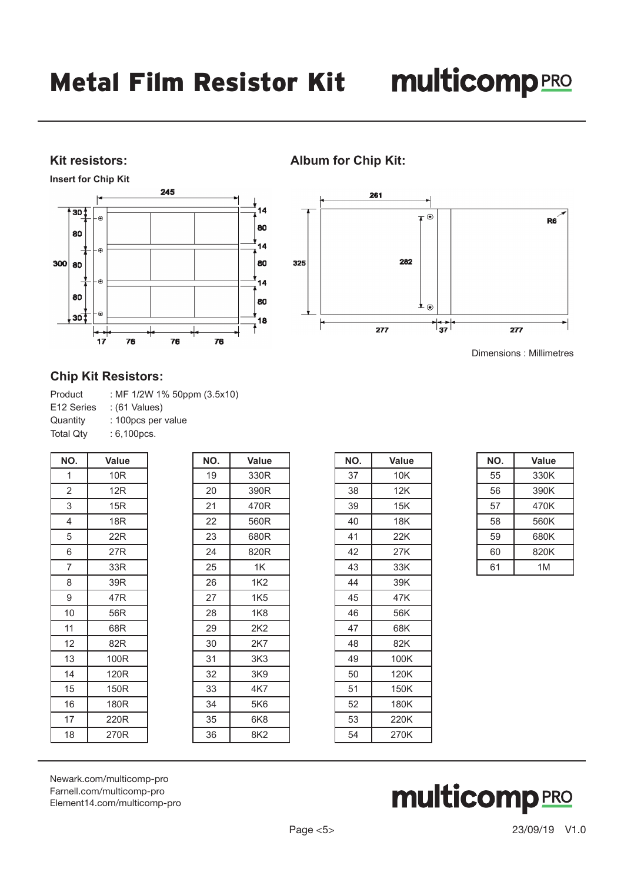#### **Kit resistors:**

**Insert for Chip Kit**



# **Album for Chip Kit:**



Dimensions : Millimetres

#### **Chip Kit Resistors:**

| Product                | : MF 1/2W 1% 50ppm (3.5x10) |
|------------------------|-----------------------------|
| E <sub>12</sub> Series | : (61 Values)               |
| Quantity               | : 100pcs per value          |
| <b>Total Qtv</b>       | $: 6,100 \text{pcs}.$       |

| NO.            | <b>Value</b>    |  |
|----------------|-----------------|--|
| 1              | 10 <sub>R</sub> |  |
| $\overline{2}$ | 12R             |  |
| 3              | 15R             |  |
| 4              | 18 <sub>R</sub> |  |
| 5              | 22R             |  |
| 6              | 27R             |  |
| 7              | 33R             |  |
| 8              | 39R             |  |
| 9              | 47R             |  |
| 10             | 56R             |  |
| 11             | 68R             |  |
| 12             | 82R             |  |
| 13             | 100R            |  |
| 14             | 120R            |  |
| 15             | 150R            |  |
| 16             | 180R            |  |
| 17             | 220R            |  |
| 18             | 270R            |  |

| NO. | Value           |
|-----|-----------------|
| 19  | 330R            |
| 20  | 390R            |
| 21  | 470R            |
| 22  | 560R            |
| 23  | 680R            |
| 24  | 820R            |
| 25  | 1K              |
| 26  | 1K <sub>2</sub> |
| 27  | 1K5             |
| 28  | 1K8             |
| 29  | 2K <sub>2</sub> |
| 30  | 2K7             |
| 31  | 3K3             |
| 32  | 3K9             |
| 33  | 4K7             |
| 34  | 5K6             |
| 35  | 6K8             |
| 36  | 8K2             |

| NO. | Value |
|-----|-------|
| 37  | 10K   |
| 38  | 12K   |
| 39  | 15K   |
| 40  | 18K   |
| 41  | 22K   |
| 42  | 27K   |
| 43  | 33K   |
| 44  | 39K   |
| 45  | 47K   |
| 46  | 56K   |
| 47  | 68K   |
| 48  | 82K   |
| 49  | 100K  |
| 50  | 120K  |
| 51  | 150K  |
| 52  | 180K  |
| 53  | 220K  |
| 54  | 270K  |

| NO. | Value |
|-----|-------|
| 55  | 330K  |
| 56  | 390K  |
| 57  | 470K  |
| 58  | 560K  |
| 59  | 680K  |
| 60  | 820K  |
| 61  | 1M    |